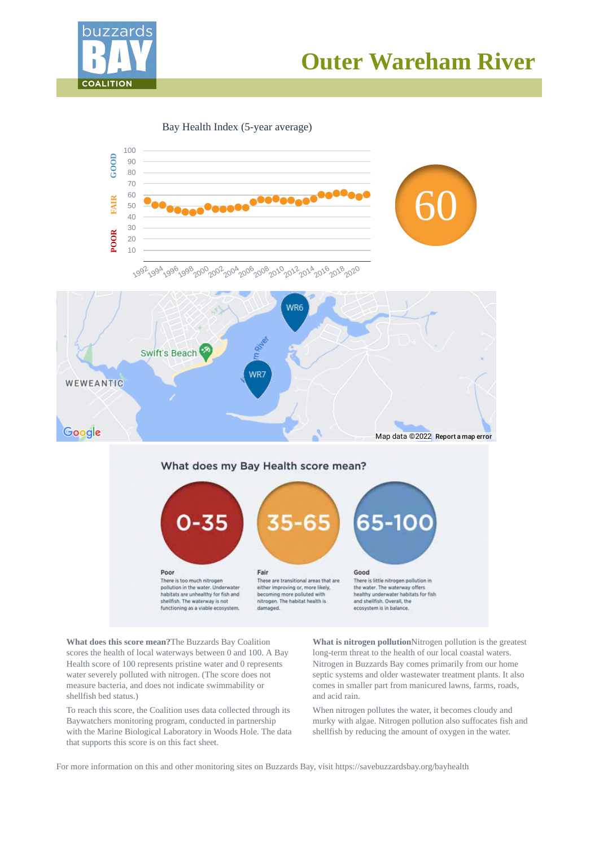



Bay Health Index (5-year average)



**What does this score mean?**The Buzzards Bay Coalition scores the health of local waterways between 0 and 100. A Bay Health score of 100 represents pristine water and 0 represents water severely polluted with nitrogen. (The score does not measure bacteria, and does not indicate swimmability or shellfish bed status.)

To reach this score, the Coalition uses data collected through its Baywatchers monitoring program, conducted in partnership with the Marine Biological Laboratory in Woods Hole. The data that supports this score is on this fact sheet.

**What is nitrogen pollution**Nitrogen pollution is the greatest long-term threat to the health of our local coastal waters. Nitrogen in Buzzards Bay comes primarily from our home septic systems and older wastewater treatment plants. It also comes in smaller part from manicured lawns, farms, roads, and acid rain.

When nitrogen pollutes the water, it becomes cloudy and murky with algae. Nitrogen pollution also suffocates fish and shellfish by reducing the amount of oxygen in the water.

For more information on this and other monitoring sites on Buzzards Bay, visit https://savebuzzardsbay.org/bayhealth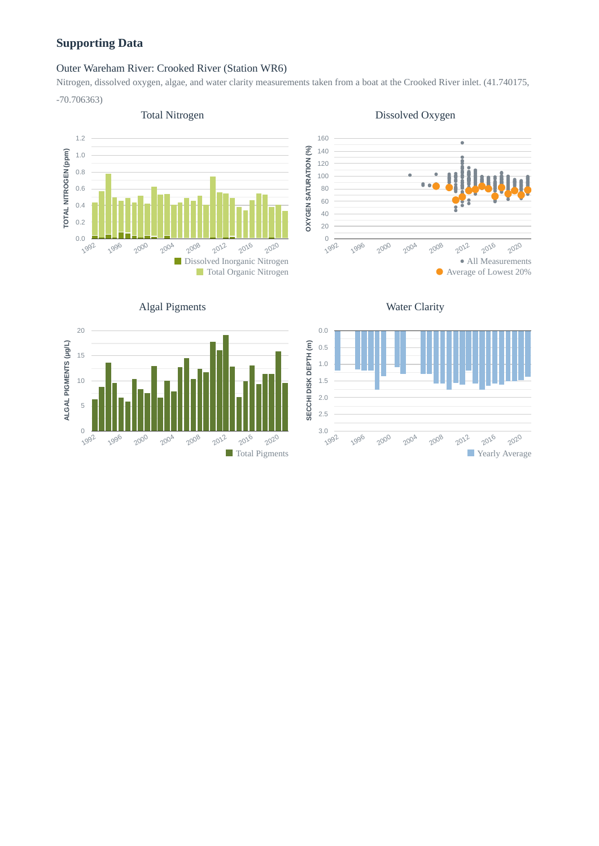# **Supporting Data**

**ALGAL PIGMENTS (μg/L)**

ALGAL PIGMENTS (µg/L)

## Outer Wareham River: Crooked River (Station WR6)

Nitrogen, dissolved oxygen, algae, and water clarity measurements taken from a boat at the Crooked River inlet. (41.740175, -70.706363)



Algal Pigments

#### 160 . **OXYGEN SATURATION (%) OXYGEN SATURATION (%)** 140 120 100  $\mathbf{a}$ 80 60 ī 40 20 0 2016 2020 2000 2004 2008 1992 1996 2012 All Measurements Average of Lowest 20%

Dissolved Oxygen